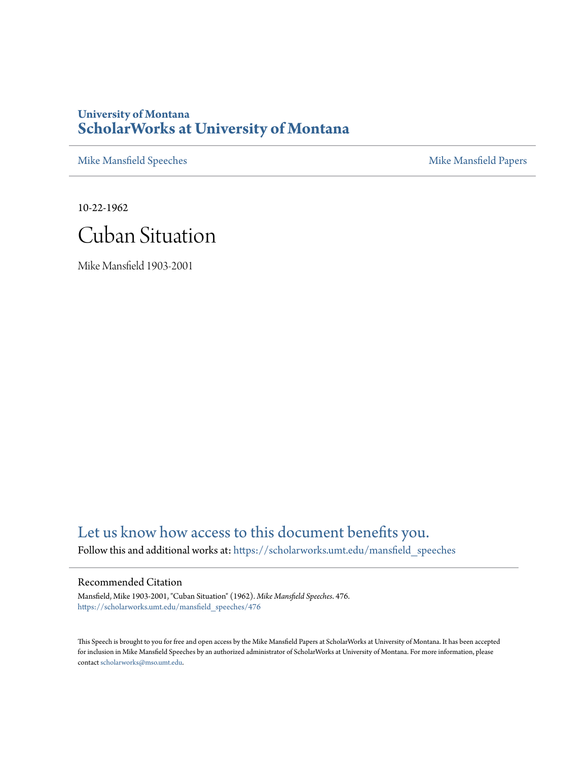## **University of Montana [ScholarWorks at University of Montana](https://scholarworks.umt.edu?utm_source=scholarworks.umt.edu%2Fmansfield_speeches%2F476&utm_medium=PDF&utm_campaign=PDFCoverPages)**

[Mike Mansfield Speeches](https://scholarworks.umt.edu/mansfield_speeches?utm_source=scholarworks.umt.edu%2Fmansfield_speeches%2F476&utm_medium=PDF&utm_campaign=PDFCoverPages) **[Mike Mansfield Papers](https://scholarworks.umt.edu/mike_mansfield_papers?utm_source=scholarworks.umt.edu%2Fmansfield_speeches%2F476&utm_medium=PDF&utm_campaign=PDFCoverPages)** Mike Mansfield Papers

10-22-1962

## Cuban Situation

Mike Mansfield 1903-2001

## [Let us know how access to this document benefits you.](https://goo.gl/forms/s2rGfXOLzz71qgsB2)

Follow this and additional works at: [https://scholarworks.umt.edu/mansfield\\_speeches](https://scholarworks.umt.edu/mansfield_speeches?utm_source=scholarworks.umt.edu%2Fmansfield_speeches%2F476&utm_medium=PDF&utm_campaign=PDFCoverPages)

## Recommended Citation

Mansfield, Mike 1903-2001, "Cuban Situation" (1962). *Mike Mansfield Speeches*. 476. [https://scholarworks.umt.edu/mansfield\\_speeches/476](https://scholarworks.umt.edu/mansfield_speeches/476?utm_source=scholarworks.umt.edu%2Fmansfield_speeches%2F476&utm_medium=PDF&utm_campaign=PDFCoverPages)

This Speech is brought to you for free and open access by the Mike Mansfield Papers at ScholarWorks at University of Montana. It has been accepted for inclusion in Mike Mansfield Speeches by an authorized administrator of ScholarWorks at University of Montana. For more information, please contact [scholarworks@mso.umt.edu.](mailto:scholarworks@mso.umt.edu)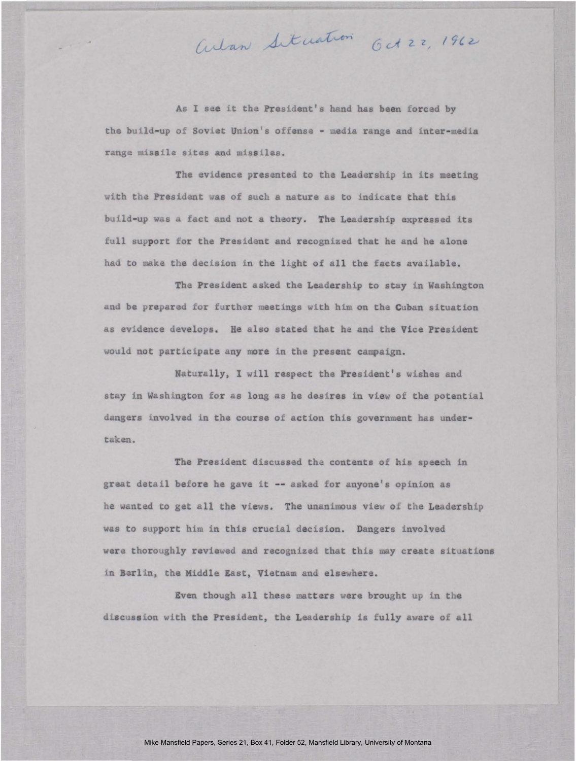As I see it the President's hand has been forced by the build-up of Soviet Union's offense - media range and inter-media range missile sites and missiles.

Arlan Situation Get 22, 1962

The evidence presented to the Leadership in its meeting with the President was of such a nature as to indicate that this build-up was a fact and not a theory. The Leadership expressed its full support for the President and recognized that he and he alone had to make the decision in the light of all the facts available,

The President asked the Leadership to stay in Washington and be prepared for further meetings with him on the Cuban situation as evidence develops. He also stated that he and the Vice President would not participate any more in the present campaign.

Naturally, I will respect the President's wishes and stay in Washington for as long as he desires in view of the potential dangers involved in the course of action this government has undertaken.

The President discussed the contents of his speech in great detail before he gave it -- asked for anyone's opinion as he wanted to get all the views. The unaninous view of the Leadership was to support him in this crucial decision. Dangers involved were thoroughly reviewed and recognized that this may create situations in Berlin, the Middle East, Vietnam and elsewhere.

Even though all these matters were brought up in the discussion with the President, the Leadership is fully aware of all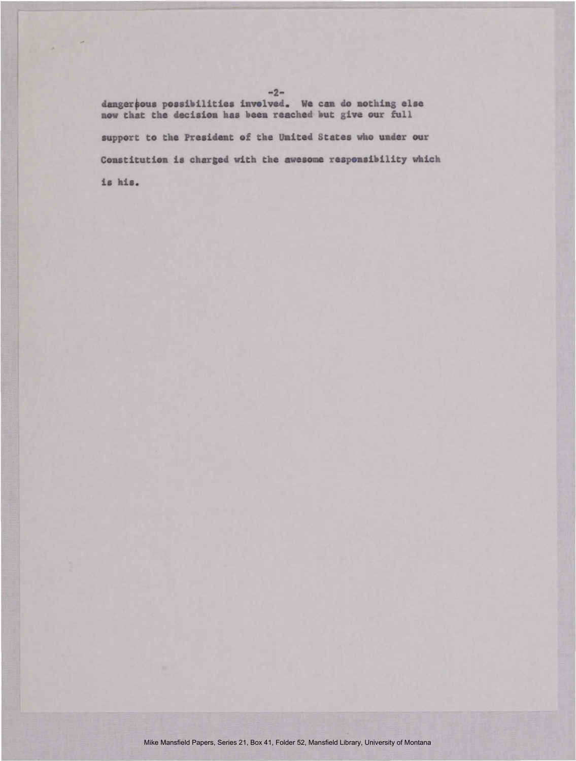danger possibilities involved. We can do nothing else now that the decision has been reached but give our full support to the President of the United States who under our Constitution is charged with the awesome responsibility which is his.

 $-2-$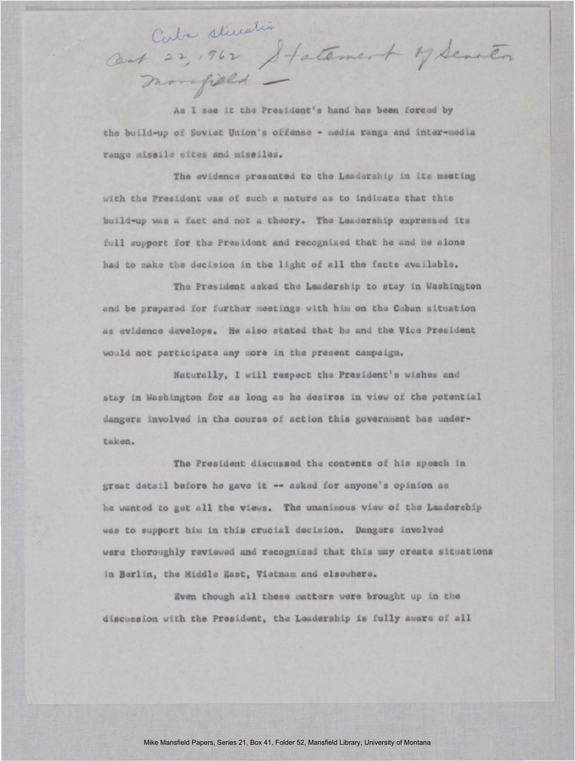Cuba stimation cent 22, 962 Statement y Senten

As I see it the President's hand has been forced by the build-up of Soviet Union's offense - media range and inter-media range missile sites and missiles.

The evidence presented to the Leadership in its meeting with the President was of such a nature as to indicate that this build-up was a fact and not a theory. The Leadership expressed its full support for the President and recognized that he and he alone had to make the decision in the light of all the facts available.

The President asked the Leadership to stay in Washington and be prepared for further meetings with him on the Cuban situation as evidence develops. He also stated that he and the Vice President would not participate any more in the present campaign.

Naturally, I will respect the President's wishes and stay in Washington for as long as he desires in view of the potential dangers involved in the course of action this government has undertaken.

The President discussed the contents of his speach in great detail before he gave it -- asked for anyone's opinion as he wanted to get all the views. The unanimous view of the Leadership was to support him in this crucial decision. Dangers involved were thoroughly reviewed and recognized that this may create situations in Berlin, the Middle East, Vietnam and elsewhere.

Even though all these matters were brought up in the discussion with the President, the Leadership is fully aware of all